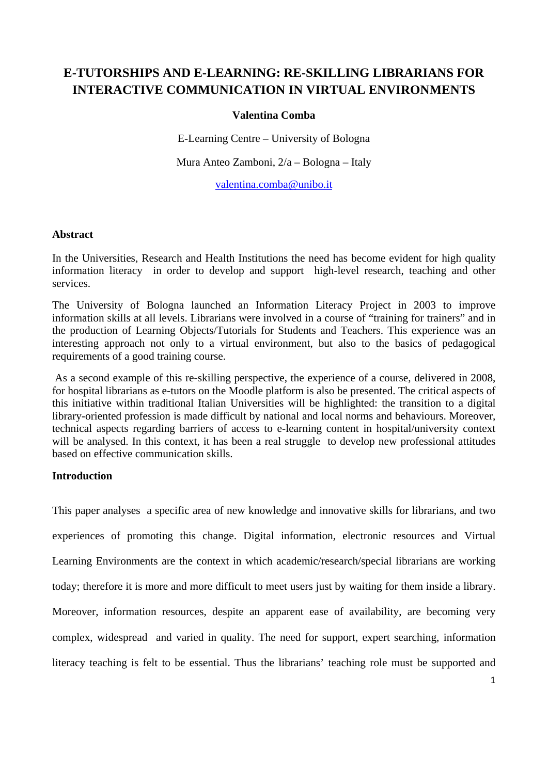# **E-TUTORSHIPS AND E-LEARNING: RE-SKILLING LIBRARIANS FOR INTERACTIVE COMMUNICATION IN VIRTUAL ENVIRONMENTS**

## **Valentina Comba**

E-Learning Centre – University of Bologna

Mura Anteo Zamboni, 2/a – Bologna – Italy

valentina.comba@unibo.it

#### **Abstract**

In the Universities, Research and Health Institutions the need has become evident for high quality information literacy in order to develop and support high-level research, teaching and other services.

The University of Bologna launched an Information Literacy Project in 2003 to improve information skills at all levels. Librarians were involved in a course of "training for trainers" and in the production of Learning Objects/Tutorials for Students and Teachers. This experience was an interesting approach not only to a virtual environment, but also to the basics of pedagogical requirements of a good training course.

 As a second example of this re-skilling perspective, the experience of a course, delivered in 2008, for hospital librarians as e-tutors on the Moodle platform is also be presented. The critical aspects of this initiative within traditional Italian Universities will be highlighted: the transition to a digital library-oriented profession is made difficult by national and local norms and behaviours. Moreover, technical aspects regarding barriers of access to e-learning content in hospital/university context will be analysed. In this context, it has been a real struggle to develop new professional attitudes based on effective communication skills.

# **Introduction**

This paper analyses a specific area of new knowledge and innovative skills for librarians, and two experiences of promoting this change. Digital information, electronic resources and Virtual Learning Environments are the context in which academic/research/special librarians are working today; therefore it is more and more difficult to meet users just by waiting for them inside a library. Moreover, information resources, despite an apparent ease of availability, are becoming very complex, widespread and varied in quality. The need for support, expert searching, information literacy teaching is felt to be essential. Thus the librarians' teaching role must be supported and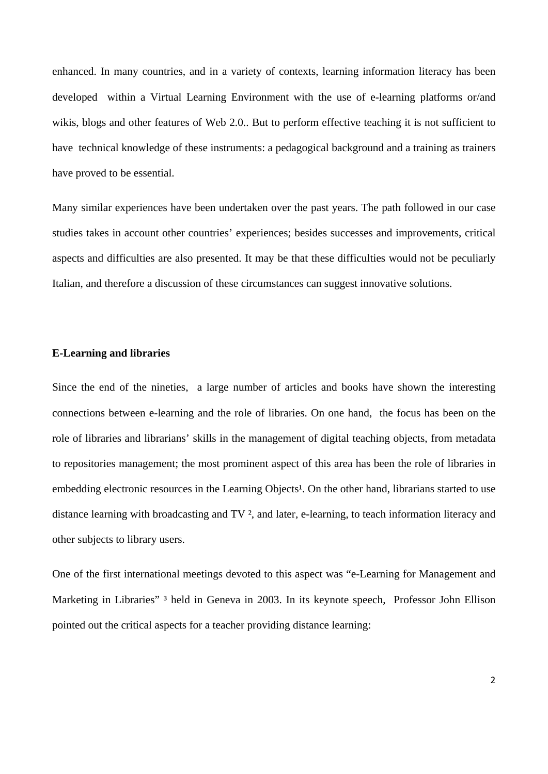enhanced. In many countries, and in a variety of contexts, learning information literacy has been developed within a Virtual Learning Environment with the use of e-learning platforms or/and wikis, blogs and other features of Web 2.0.. But to perform effective teaching it is not sufficient to have technical knowledge of these instruments: a pedagogical background and a training as trainers have proved to be essential.

Many similar experiences have been undertaken over the past years. The path followed in our case studies takes in account other countries' experiences; besides successes and improvements, critical aspects and difficulties are also presented. It may be that these difficulties would not be peculiarly Italian, and therefore a discussion of these circumstances can suggest innovative solutions.

## **E-Learning and libraries**

Since the end of the nineties, a large number of articles and books have shown the interesting connections between e-learning and the role of libraries. On one hand, the focus has been on the role of libraries and librarians' skills in the management of digital teaching objects, from metadata to repositories management; the most prominent aspect of this area has been the role of libraries in embedding electronic resources in the Learning Objects<sup>1</sup>. On the other hand, librarians started to use distance learning with broadcasting and TV ², and later, e-learning, to teach information literacy and other subjects to library users.

One of the first international meetings devoted to this aspect was "e-Learning for Management and Marketing in Libraries"<sup>3</sup> held in Geneva in 2003. In its keynote speech, Professor John Ellison pointed out the critical aspects for a teacher providing distance learning: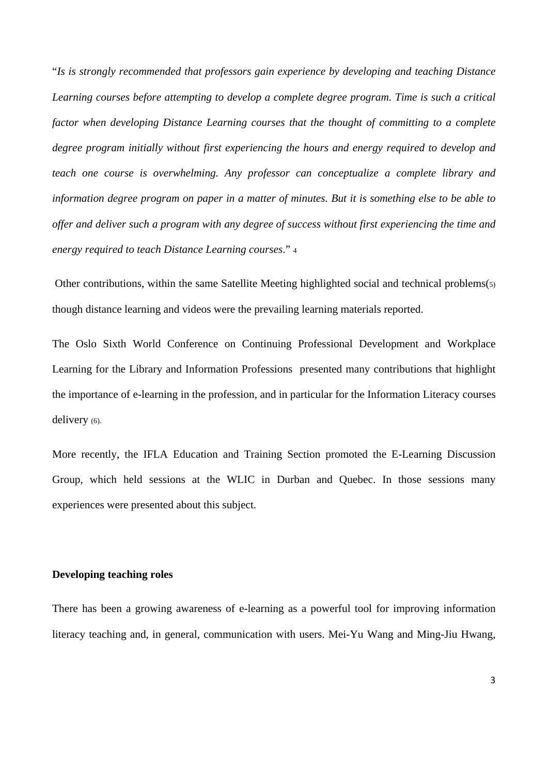"*Is is strongly recommended that professors gain experience by developing and teaching Distance Learning courses before attempting to develop a complete degree program. Time is such a critical factor when developing Distance Learning courses that the thought of committing to a complete degree program initially without first experiencing the hours and energy required to develop and teach one course is overwhelming. Any professor can conceptualize a complete library and information degree program on paper in a matter of minutes. But it is something else to be able to offer and deliver such a program with any degree of success without first experiencing the time and energy required to teach Distance Learning courses*." 4

 Other contributions, within the same Satellite Meeting highlighted social and technical problems(5) though distance learning and videos were the prevailing learning materials reported.

The Oslo Sixth World Conference on Continuing Professional Development and Workplace Learning for the Library and Information Professions presented many contributions that highlight the importance of e-learning in the profession, and in particular for the Information Literacy courses delivery (6).

More recently, the IFLA Education and Training Section promoted the E-Learning Discussion Group, which held sessions at the WLIC in Durban and Quebec. In those sessions many experiences were presented about this subject.

## **Developing teaching roles**

There has been a growing awareness of e-learning as a powerful tool for improving information literacy teaching and, in general, communication with users. Mei-Yu Wang and Ming-Jiu Hwang,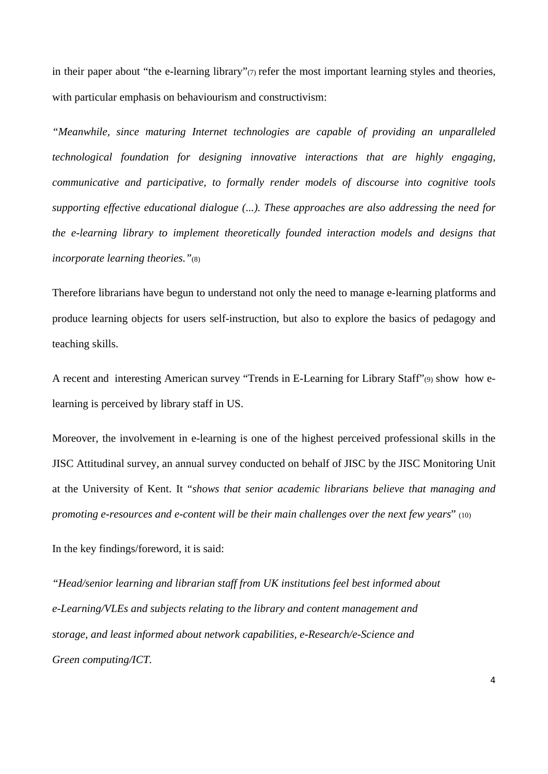in their paper about "the e-learning library" $\sigma$  refer the most important learning styles and theories, with particular emphasis on behaviourism and constructivism:

*"Meanwhile, since maturing Internet technologies are capable of providing an unparalleled technological foundation for designing innovative interactions that are highly engaging, communicative and participative, to formally render models of discourse into cognitive tools supporting effective educational dialogue (...). These approaches are also addressing the need for the e-learning library to implement theoretically founded interaction models and designs that incorporate learning theories."*(8)

Therefore librarians have begun to understand not only the need to manage e-learning platforms and produce learning objects for users self-instruction, but also to explore the basics of pedagogy and teaching skills.

A recent and interesting American survey "Trends in E-Learning for Library Staff"(9) show how elearning is perceived by library staff in US.

Moreover, the involvement in e-learning is one of the highest perceived professional skills in the JISC Attitudinal survey, an annual survey conducted on behalf of JISC by the JISC Monitoring Unit at the University of Kent. It "*shows that senior academic librarians believe that managing and promoting e-resources and e-content will be their main challenges over the next few years*" (10)

In the key findings/foreword, it is said:

*"Head/senior learning and librarian staff from UK institutions feel best informed about e-Learning/VLEs and subjects relating to the library and content management and storage, and least informed about network capabilities, e-Research/e-Science and Green computing/ICT.*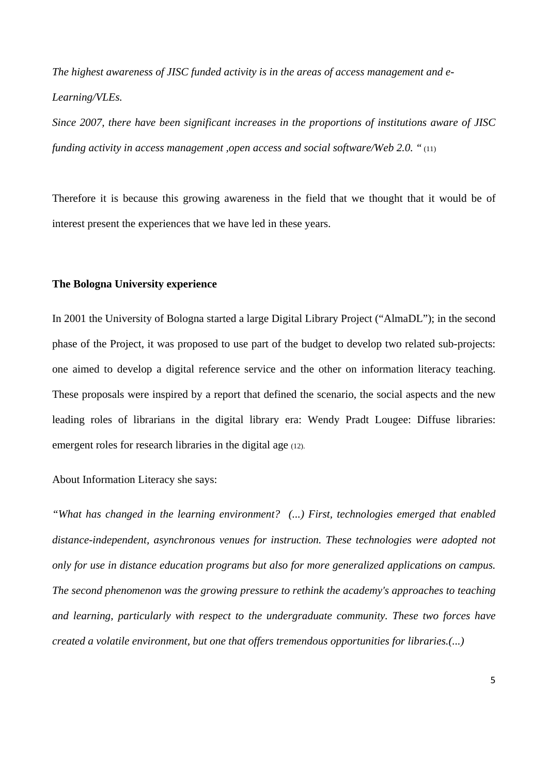*The highest awareness of JISC funded activity is in the areas of access management and e-Learning/VLEs.* 

*Since 2007, there have been significant increases in the proportions of institutions aware of JISC funding activity in access management ,open access and social software/Web 2.0. "* (11)

Therefore it is because this growing awareness in the field that we thought that it would be of interest present the experiences that we have led in these years.

#### **The Bologna University experience**

In 2001 the University of Bologna started a large Digital Library Project ("AlmaDL"); in the second phase of the Project, it was proposed to use part of the budget to develop two related sub-projects: one aimed to develop a digital reference service and the other on information literacy teaching. These proposals were inspired by a report that defined the scenario, the social aspects and the new leading roles of librarians in the digital library era: Wendy Pradt Lougee: Diffuse libraries: emergent roles for research libraries in the digital age (12).

About Information Literacy she says:

*"What has changed in the learning environment? (...) First, technologies emerged that enabled distance-independent, asynchronous venues for instruction. These technologies were adopted not only for use in distance education programs but also for more generalized applications on campus. The second phenomenon was the growing pressure to rethink the academy's approaches to teaching and learning, particularly with respect to the undergraduate community. These two forces have created a volatile environment, but one that offers tremendous opportunities for libraries.(...)*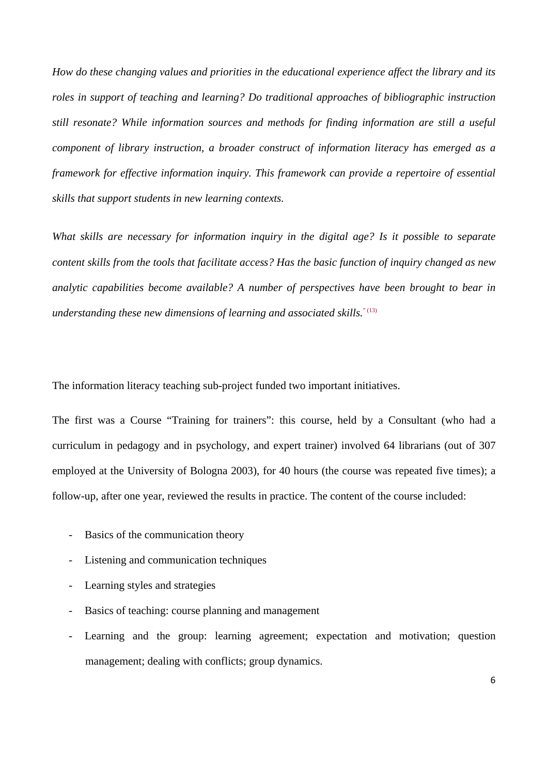*How do these changing values and priorities in the educational experience affect the library and its roles in support of teaching and learning? Do traditional approaches of bibliographic instruction still resonate? While information sources and methods for finding information are still a useful component of library instruction, a broader construct of information literacy has emerged as a framework for effective information inquiry. This framework can provide a repertoire of essential skills that support students in new learning contexts.* 

*What skills are necessary for information inquiry in the digital age? Is it possible to separate content skills from the tools that facilitate access? Has the basic function of inquiry changed as new analytic capabilities become available? A number of perspectives have been brought to bear in understanding these new dimensions of learning and associated skills.*" (13)

The information literacy teaching sub-project funded two important initiatives.

The first was a Course "Training for trainers": this course, held by a Consultant (who had a curriculum in pedagogy and in psychology, and expert trainer) involved 64 librarians (out of 307 employed at the University of Bologna 2003), for 40 hours (the course was repeated five times); a follow-up, after one year, reviewed the results in practice. The content of the course included:

- Basics of the communication theory
- Listening and communication techniques
- Learning styles and strategies
- Basics of teaching: course planning and management
- Learning and the group: learning agreement; expectation and motivation; question management; dealing with conflicts; group dynamics.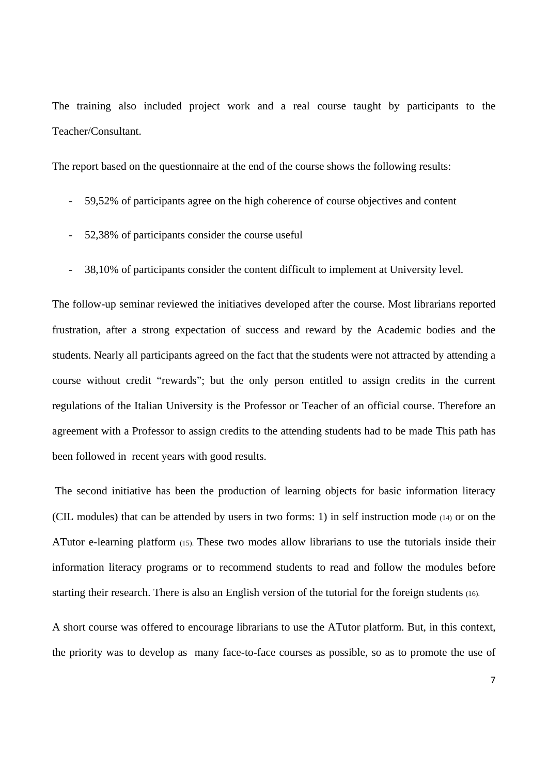The training also included project work and a real course taught by participants to the Teacher/Consultant.

The report based on the questionnaire at the end of the course shows the following results:

- 59,52% of participants agree on the high coherence of course objectives and content
- 52,38% of participants consider the course useful
- 38,10% of participants consider the content difficult to implement at University level.

The follow-up seminar reviewed the initiatives developed after the course. Most librarians reported frustration, after a strong expectation of success and reward by the Academic bodies and the students. Nearly all participants agreed on the fact that the students were not attracted by attending a course without credit "rewards"; but the only person entitled to assign credits in the current regulations of the Italian University is the Professor or Teacher of an official course. Therefore an agreement with a Professor to assign credits to the attending students had to be made This path has been followed in recent years with good results.

 The second initiative has been the production of learning objects for basic information literacy (CIL modules) that can be attended by users in two forms: 1) in self instruction mode (14) or on the ATutor e-learning platform (15). These two modes allow librarians to use the tutorials inside their information literacy programs or to recommend students to read and follow the modules before starting their research. There is also an English version of the tutorial for the foreign students (16).

A short course was offered to encourage librarians to use the ATutor platform. But, in this context, the priority was to develop as many face-to-face courses as possible, so as to promote the use of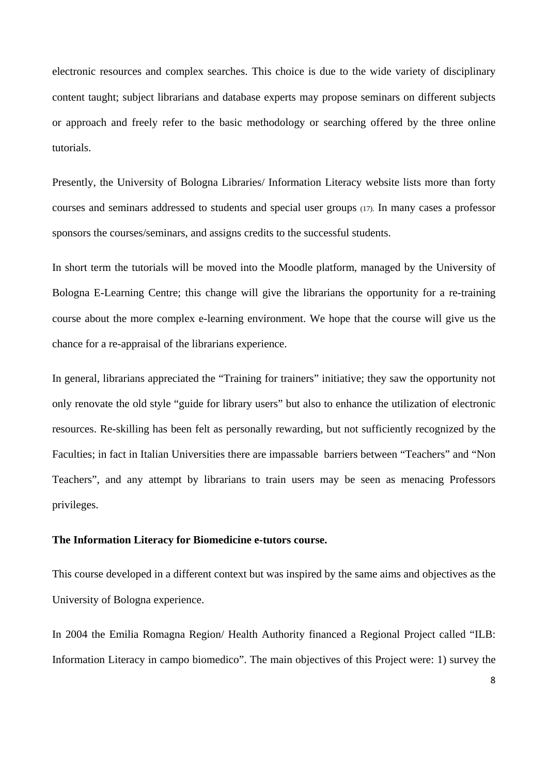electronic resources and complex searches. This choice is due to the wide variety of disciplinary content taught; subject librarians and database experts may propose seminars on different subjects or approach and freely refer to the basic methodology or searching offered by the three online tutorials.

Presently, the University of Bologna Libraries/ Information Literacy website lists more than forty courses and seminars addressed to students and special user groups (17). In many cases a professor sponsors the courses/seminars, and assigns credits to the successful students.

In short term the tutorials will be moved into the Moodle platform, managed by the University of Bologna E-Learning Centre; this change will give the librarians the opportunity for a re-training course about the more complex e-learning environment. We hope that the course will give us the chance for a re-appraisal of the librarians experience.

In general, librarians appreciated the "Training for trainers" initiative; they saw the opportunity not only renovate the old style "guide for library users" but also to enhance the utilization of electronic resources. Re-skilling has been felt as personally rewarding, but not sufficiently recognized by the Faculties; in fact in Italian Universities there are impassable barriers between "Teachers" and "Non Teachers", and any attempt by librarians to train users may be seen as menacing Professors privileges.

#### **The Information Literacy for Biomedicine e-tutors course.**

This course developed in a different context but was inspired by the same aims and objectives as the University of Bologna experience.

In 2004 the Emilia Romagna Region/ Health Authority financed a Regional Project called "ILB: Information Literacy in campo biomedico". The main objectives of this Project were: 1) survey the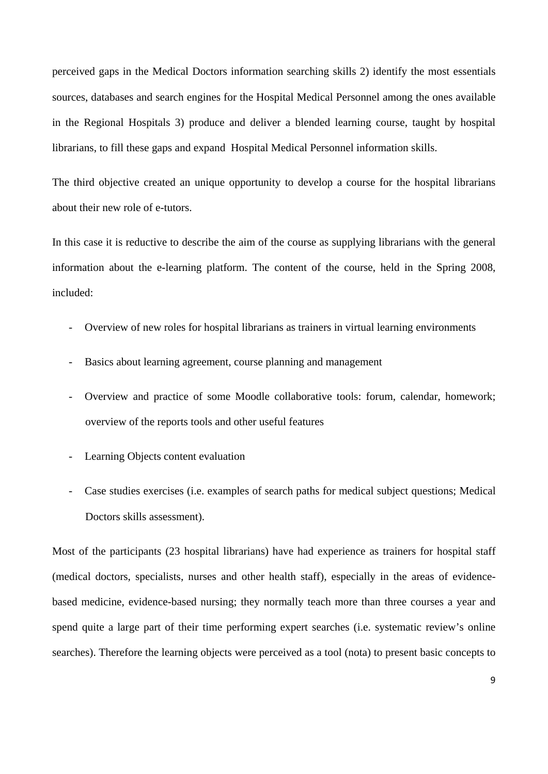perceived gaps in the Medical Doctors information searching skills 2) identify the most essentials sources, databases and search engines for the Hospital Medical Personnel among the ones available in the Regional Hospitals 3) produce and deliver a blended learning course, taught by hospital librarians, to fill these gaps and expand Hospital Medical Personnel information skills.

The third objective created an unique opportunity to develop a course for the hospital librarians about their new role of e-tutors.

In this case it is reductive to describe the aim of the course as supplying librarians with the general information about the e-learning platform. The content of the course, held in the Spring 2008, included:

- Overview of new roles for hospital librarians as trainers in virtual learning environments
- Basics about learning agreement, course planning and management
- Overview and practice of some Moodle collaborative tools: forum, calendar, homework; overview of the reports tools and other useful features
- Learning Objects content evaluation
- Case studies exercises (i.e. examples of search paths for medical subject questions; Medical Doctors skills assessment).

Most of the participants (23 hospital librarians) have had experience as trainers for hospital staff (medical doctors, specialists, nurses and other health staff), especially in the areas of evidencebased medicine, evidence-based nursing; they normally teach more than three courses a year and spend quite a large part of their time performing expert searches (i.e. systematic review's online searches). Therefore the learning objects were perceived as a tool (nota) to present basic concepts to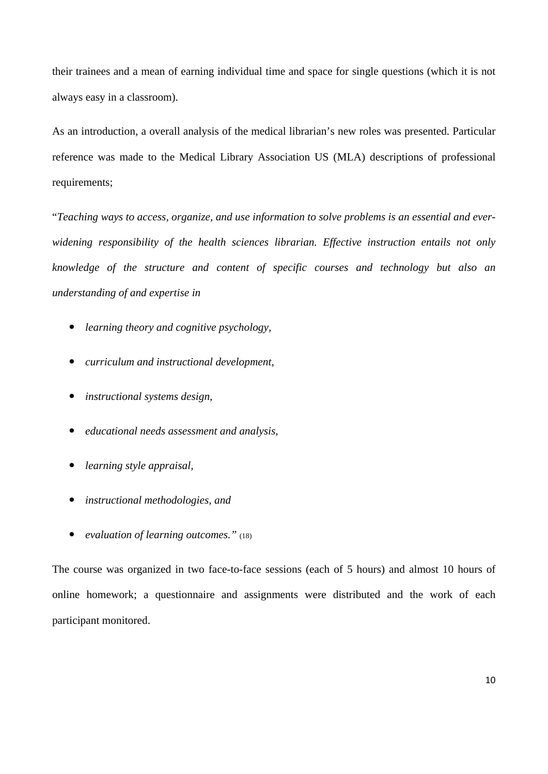their trainees and a mean of earning individual time and space for single questions (which it is not always easy in a classroom).

As an introduction, a overall analysis of the medical librarian's new roles was presented. Particular reference was made to the Medical Library Association US (MLA) descriptions of professional requirements;

"*Teaching ways to access, organize, and use information to solve problems is an essential and everwidening responsibility of the health sciences librarian. Effective instruction entails not only knowledge of the structure and content of specific courses and technology but also an understanding of and expertise in* 

- *learning theory and cognitive psychology,*
- *curriculum and instructional development,*
- *instructional systems design,*
- *educational needs assessment and analysis,*
- *learning style appraisal,*
- *instructional methodologies, and*
- *evaluation of learning outcomes."* (18)

The course was organized in two face-to-face sessions (each of 5 hours) and almost 10 hours of online homework; a questionnaire and assignments were distributed and the work of each participant monitored.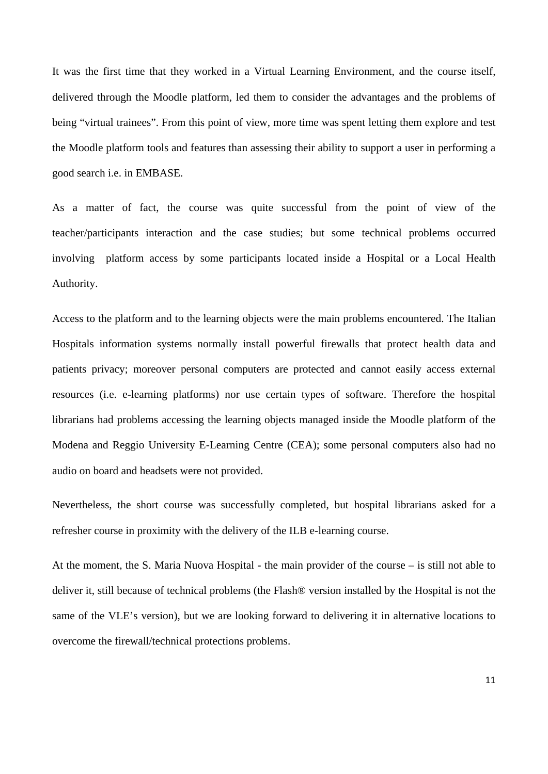It was the first time that they worked in a Virtual Learning Environment, and the course itself, delivered through the Moodle platform, led them to consider the advantages and the problems of being "virtual trainees". From this point of view, more time was spent letting them explore and test the Moodle platform tools and features than assessing their ability to support a user in performing a good search i.e. in EMBASE.

As a matter of fact, the course was quite successful from the point of view of the teacher/participants interaction and the case studies; but some technical problems occurred involving platform access by some participants located inside a Hospital or a Local Health Authority.

Access to the platform and to the learning objects were the main problems encountered. The Italian Hospitals information systems normally install powerful firewalls that protect health data and patients privacy; moreover personal computers are protected and cannot easily access external resources (i.e. e-learning platforms) nor use certain types of software. Therefore the hospital librarians had problems accessing the learning objects managed inside the Moodle platform of the Modena and Reggio University E-Learning Centre (CEA); some personal computers also had no audio on board and headsets were not provided.

Nevertheless, the short course was successfully completed, but hospital librarians asked for a refresher course in proximity with the delivery of the ILB e-learning course.

At the moment, the S. Maria Nuova Hospital - the main provider of the course – is still not able to deliver it, still because of technical problems (the Flash® version installed by the Hospital is not the same of the VLE's version), but we are looking forward to delivering it in alternative locations to overcome the firewall/technical protections problems.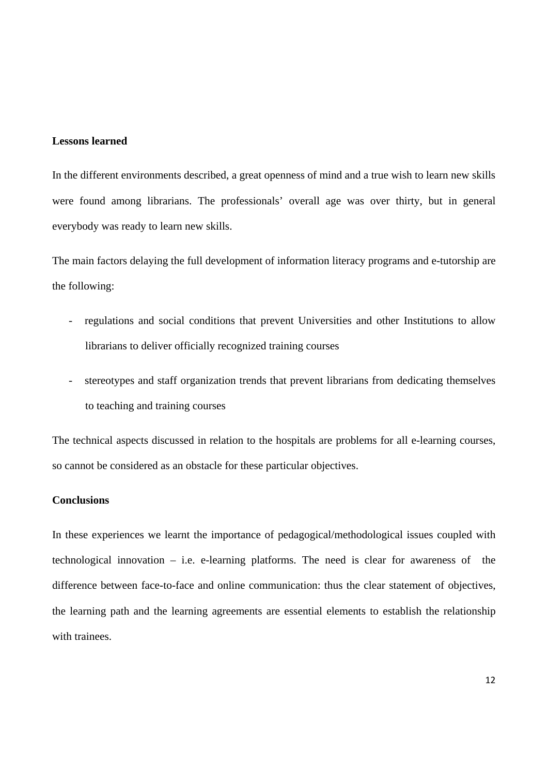## **Lessons learned**

In the different environments described, a great openness of mind and a true wish to learn new skills were found among librarians. The professionals' overall age was over thirty, but in general everybody was ready to learn new skills.

The main factors delaying the full development of information literacy programs and e-tutorship are the following:

- regulations and social conditions that prevent Universities and other Institutions to allow librarians to deliver officially recognized training courses
- stereotypes and staff organization trends that prevent librarians from dedicating themselves to teaching and training courses

The technical aspects discussed in relation to the hospitals are problems for all e-learning courses, so cannot be considered as an obstacle for these particular objectives.

# **Conclusions**

In these experiences we learnt the importance of pedagogical/methodological issues coupled with technological innovation – i.e. e-learning platforms. The need is clear for awareness of the difference between face-to-face and online communication: thus the clear statement of objectives, the learning path and the learning agreements are essential elements to establish the relationship with trainees.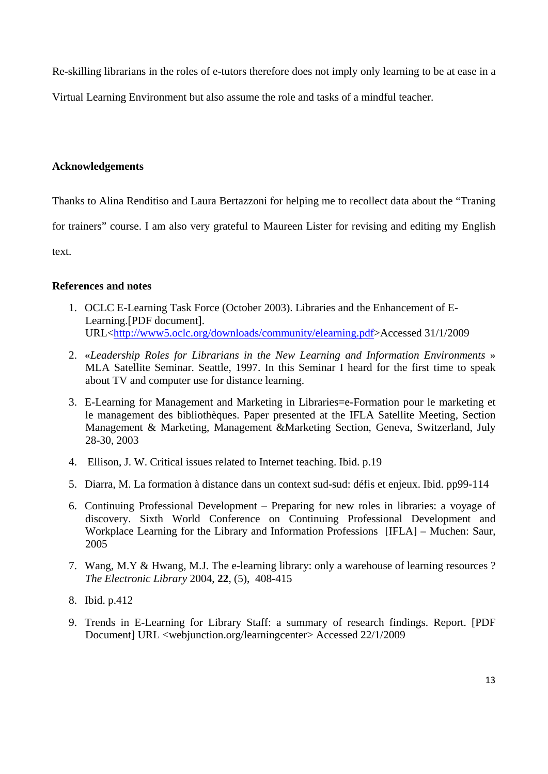Re-skilling librarians in the roles of e-tutors therefore does not imply only learning to be at ease in a

Virtual Learning Environment but also assume the role and tasks of a mindful teacher.

# **Acknowledgements**

Thanks to Alina Renditiso and Laura Bertazzoni for helping me to recollect data about the "Traning

for trainers" course. I am also very grateful to Maureen Lister for revising and editing my English

text.

# **References and notes**

- 1. OCLC E-Learning Task Force (October 2003). Libraries and the Enhancement of E-Learning.[PDF document]. URL<http://www5.oclc.org/downloads/community/elearning.pdf>Accessed 31/1/2009
- 2. «*Leadership Roles for Librarians in the New Learning and Information Environments* » MLA Satellite Seminar. Seattle, 1997. In this Seminar I heard for the first time to speak about TV and computer use for distance learning.
- 3. E-Learning for Management and Marketing in Libraries=e-Formation pour le marketing et le management des bibliothèques. Paper presented at the IFLA Satellite Meeting, Section Management & Marketing, Management &Marketing Section, Geneva, Switzerland, July 28-30, 2003
- 4. Ellison, J. W. Critical issues related to Internet teaching. Ibid. p.19
- 5. Diarra, M. La formation à distance dans un context sud-sud: défis et enjeux. Ibid. pp99-114
- 6. Continuing Professional Development Preparing for new roles in libraries: a voyage of discovery. Sixth World Conference on Continuing Professional Development and Workplace Learning for the Library and Information Professions [IFLA] – Muchen: Saur, 2005
- 7. Wang, M.Y & Hwang, M.J. The e-learning library: only a warehouse of learning resources ? *The Electronic Library* 2004, **22**, (5), 408-415
- 8. Ibid. p.412
- 9. Trends in E-Learning for Library Staff: a summary of research findings. Report. [PDF Document] URL <webjunction.org/learningcenter> Accessed 22/1/2009